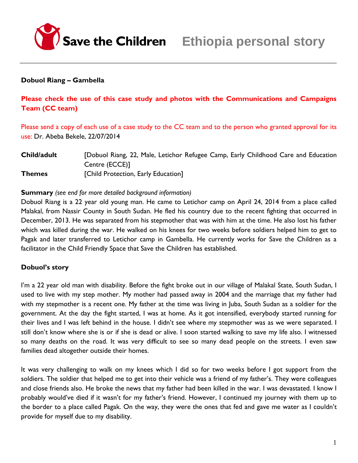

### **Dobuol Riang – Gambella**

## **Please check the use of this case study and photos with the Communications and Campaigns Team (CC team)**

Please send a copy of each use of a case study to the CC team and to the person who granted approval for its use: Dr. Abeba Bekele, 22/07/2014

**Child/adult** [Dobuol Riang, 22, Male, Letichor Refugee Camp, Early Childhood Care and Education Centre (ECCE)] **Themes** [Child Protection, Early Education]

### **Summary** *(see end for more detailed background information)*

Dobuol Riang is a 22 year old young man. He came to Letichor camp on April 24, 2014 from a place called Malakal, from Nassir County in South Sudan. He fled his country due to the recent fighting that occurred in December, 2013. He was separated from his stepmother that was with him at the time. He also lost his father which was killed during the war. He walked on his knees for two weeks before soldiers helped him to get to Pagak and later transferred to Letichor camp in Gambella. He currently works for Save the Children as a facilitator in the Child Friendly Space that Save the Children has established.

## **Dobuol's story**

I'm a 22 year old man with disability. Before the fight broke out in our village of Malakal State, South Sudan, I used to live with my step mother. My mother had passed away in 2004 and the marriage that my father had with my stepmother is a recent one. My father at the time was living in Juba, South Sudan as a soldier for the government. At the day the fight started, I was at home. As it got intensified, everybody started running for their lives and I was left behind in the house. I didn't see where my stepmother was as we were separated. I still don't know where she is or if she is dead or alive. I soon started walking to save my life also. I witnessed so many deaths on the road. It was very difficult to see so many dead people on the streets. I even saw families dead altogether outside their homes.

It was very challenging to walk on my knees which I did so for two weeks before I got support from the soldiers. The soldier that helped me to get into their vehicle was a friend of my father's. They were colleagues and close friends also. He broke the news that my father had been killed in the war. I was devastated. I know I probably would've died if it wasn't for my father's friend. However, I continued my journey with them up to the border to a place called Pagak. On the way, they were the ones that fed and gave me water as I couldn't provide for myself due to my disability.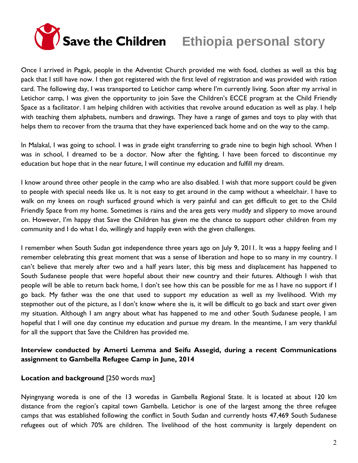

Once I arrived in Pagak, people in the Adventist Church provided me with food, clothes as well as this bag pack that I still have now. I then got registered with the first level of registration and was provided with ration card. The following day, I was transported to Letichor camp where I'm currently living. Soon after my arrival in Letichor camp, I was given the opportunity to join Save the Children's ECCE program at the Child Friendly Space as a facilitator. I am helping children with activities that revolve around education as well as play. I help with teaching them alphabets, numbers and drawings. They have a range of games and toys to play with that helps them to recover from the trauma that they have experienced back home and on the way to the camp.

In Malakal, I was going to school. I was in grade eight transferring to grade nine to begin high school. When I was in school, I dreamed to be a doctor. Now after the fighting, I have been forced to discontinue my education but hope that in the near future, I will continue my education and fulfill my dream.

I know around three other people in the camp who are also disabled. I wish that more support could be given to people with special needs like us. It is not easy to get around in the camp without a wheelchair. I have to walk on my knees on rough surfaced ground which is very painful and can get difficult to get to the Child Friendly Space from my home. Sometimes is rains and the area gets very muddy and slippery to move around on. However, I'm happy that Save the Children has given me the chance to support other children from my community and I do what I do, willingly and happily even with the given challenges.

I remember when South Sudan got independence three years ago on July 9, 2011. It was a happy feeling and I remember celebrating this great moment that was a sense of liberation and hope to so many in my country. I can't believe that merely after two and a half years later, this big mess and displacement has happened to South Sudanese people that were hopeful about their new country and their futures. Although I wish that people will be able to return back home, I don't see how this can be possible for me as I have no support if I go back. My father was the one that used to support my education as well as my livelihood. With my stepmother out of the picture, as I don't know where she is, it will be difficult to go back and start over given my situation. Although I am angry about what has happened to me and other South Sudanese people, I am hopeful that I will one day continue my education and pursue my dream. In the meantime, I am very thankful for all the support that Save the Children has provided me.

# **Interview conducted by Amerti Lemma and Seifu Assegid, during a recent Communications assignment to Gambella Refugee Camp in June, 2014**

## **Location and background** [250 words max]

Nyingnyang woreda is one of the 13 woredas in Gambella Regional State. It is located at about 120 km distance from the region's capital town Gambella. Letichor is one of the largest among the three refugee camps that was established following the conflict in South Sudan and currently hosts 47,469 South Sudanese refugees out of which 70% are children. The livelihood of the host community is largely dependent on